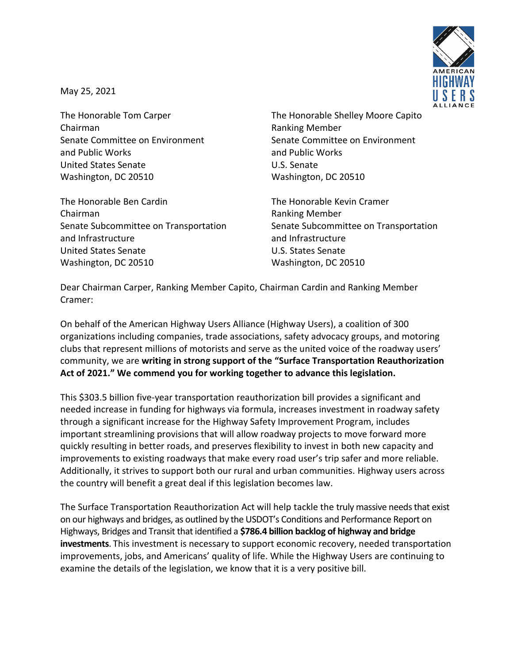

May 25, 2021

Chairman **Ranking Member** and Public Works and Public Works United States Senate **U.S. Senate** Washington, DC 20510 Washington, DC 20510

The Honorable Ben Cardin The Honorable Kevin Cramer Chairman **Ranking Member** Ranking Member Senate Subcommittee on Transportation Senate Subcommittee on Transportation and Infrastructure and Infrastructure United States Senate U.S. States Senate Washington, DC 20510 Washington, DC 20510

The Honorable Tom Carper The Honorable Shelley Moore Capito Senate Committee on Environment Senate Committee on Environment

Dear Chairman Carper, Ranking Member Capito, Chairman Cardin and Ranking Member Cramer:

On behalf of the American Highway Users Alliance (Highway Users), a coalition of 300 organizations including companies, trade associations, safety advocacy groups, and motoring clubs that represent millions of motorists and serve as the united voice of the roadway users' community, we are **writing in strong support of the "Surface Transportation Reauthorization Act of 2021." We commend you for working together to advance this legislation.**

This \$303.5 billion five-year transportation reauthorization bill provides a significant and needed increase in funding for highways via formula, increases investment in roadway safety through a significant increase for the Highway Safety Improvement Program, includes important streamlining provisions that will allow roadway projects to move forward more quickly resulting in better roads, and preserves flexibility to invest in both new capacity and improvements to existing roadways that make every road user's trip safer and more reliable. Additionally, it strives to support both our rural and urban communities. Highway users across the country will benefit a great deal if this legislation becomes law.

The Surface Transportation Reauthorization Act will help tackle the truly massive needs that exist on our highways and bridges, as outlined by the USDOT's Conditions and Performance Report on Highways, Bridges and Transit that identified a **\$786.4 billion backlog of highway and bridge investments**. This investment is necessary to support economic recovery, needed transportation improvements, jobs, and Americans' quality of life. While the Highway Users are continuing to examine the details of the legislation, we know that it is a very positive bill.